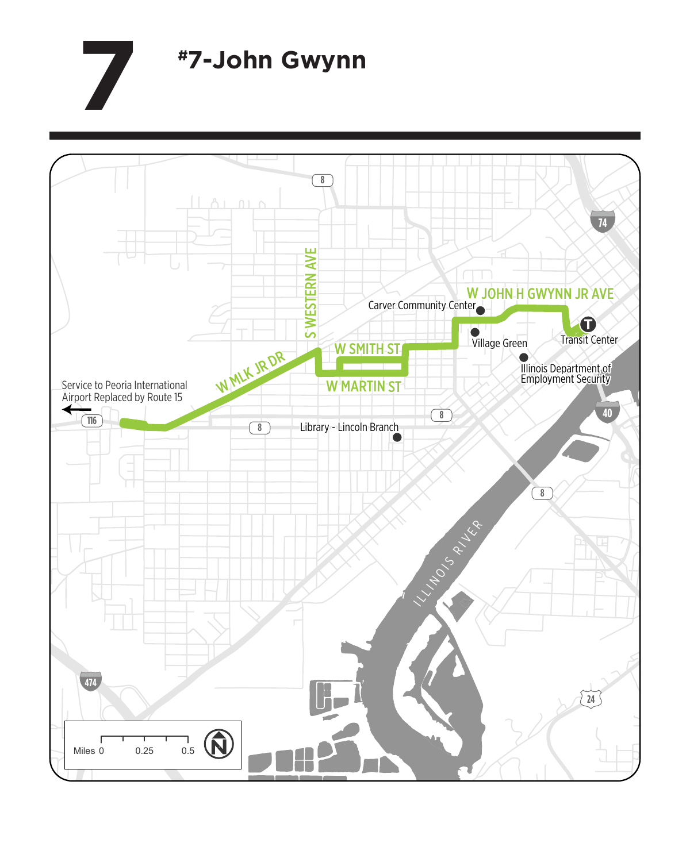